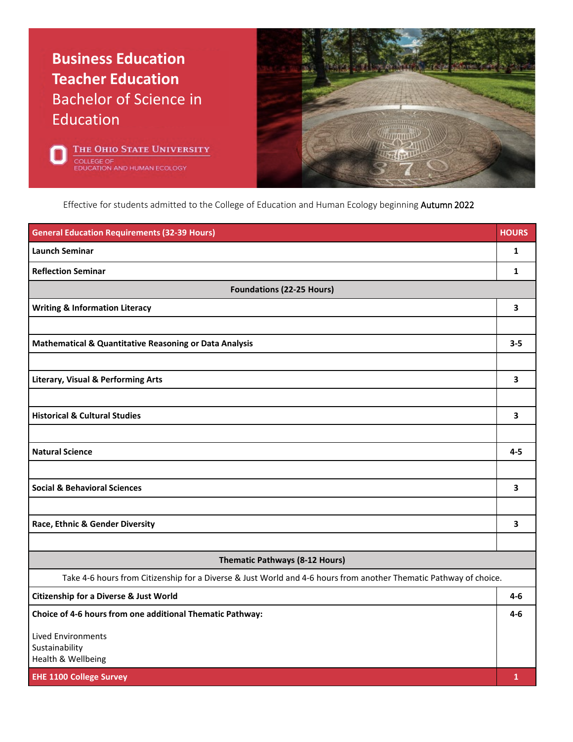## **Business Education Teacher Education** Bachelor of Science in **Education**





Effective for students admitted to the College of Education and Human Ecology beginning Autumn 2022

| <b>General Education Requirements (32-39 Hours)</b>                                                               | <b>HOURS</b> |
|-------------------------------------------------------------------------------------------------------------------|--------------|
| <b>Launch Seminar</b>                                                                                             | $\mathbf{1}$ |
| <b>Reflection Seminar</b>                                                                                         | 1            |
| <b>Foundations (22-25 Hours)</b>                                                                                  |              |
| <b>Writing &amp; Information Literacy</b>                                                                         | 3            |
|                                                                                                                   |              |
| <b>Mathematical &amp; Quantitative Reasoning or Data Analysis</b>                                                 | $3 - 5$      |
|                                                                                                                   |              |
| <b>Literary, Visual &amp; Performing Arts</b>                                                                     | 3            |
|                                                                                                                   |              |
| <b>Historical &amp; Cultural Studies</b>                                                                          | 3            |
|                                                                                                                   |              |
| <b>Natural Science</b>                                                                                            | $4 - 5$      |
|                                                                                                                   |              |
| <b>Social &amp; Behavioral Sciences</b>                                                                           | 3            |
|                                                                                                                   |              |
| Race, Ethnic & Gender Diversity                                                                                   | 3            |
|                                                                                                                   |              |
| Thematic Pathways (8-12 Hours)                                                                                    |              |
| Take 4-6 hours from Citizenship for a Diverse & Just World and 4-6 hours from another Thematic Pathway of choice. |              |
| Citizenship for a Diverse & Just World                                                                            | $4 - 6$      |
| Choice of 4-6 hours from one additional Thematic Pathway:                                                         | $4 - 6$      |
| Lived Environments                                                                                                |              |
| Sustainability<br>Health & Wellbeing                                                                              |              |
| <b>EHE 1100 College Survey</b>                                                                                    | 1            |